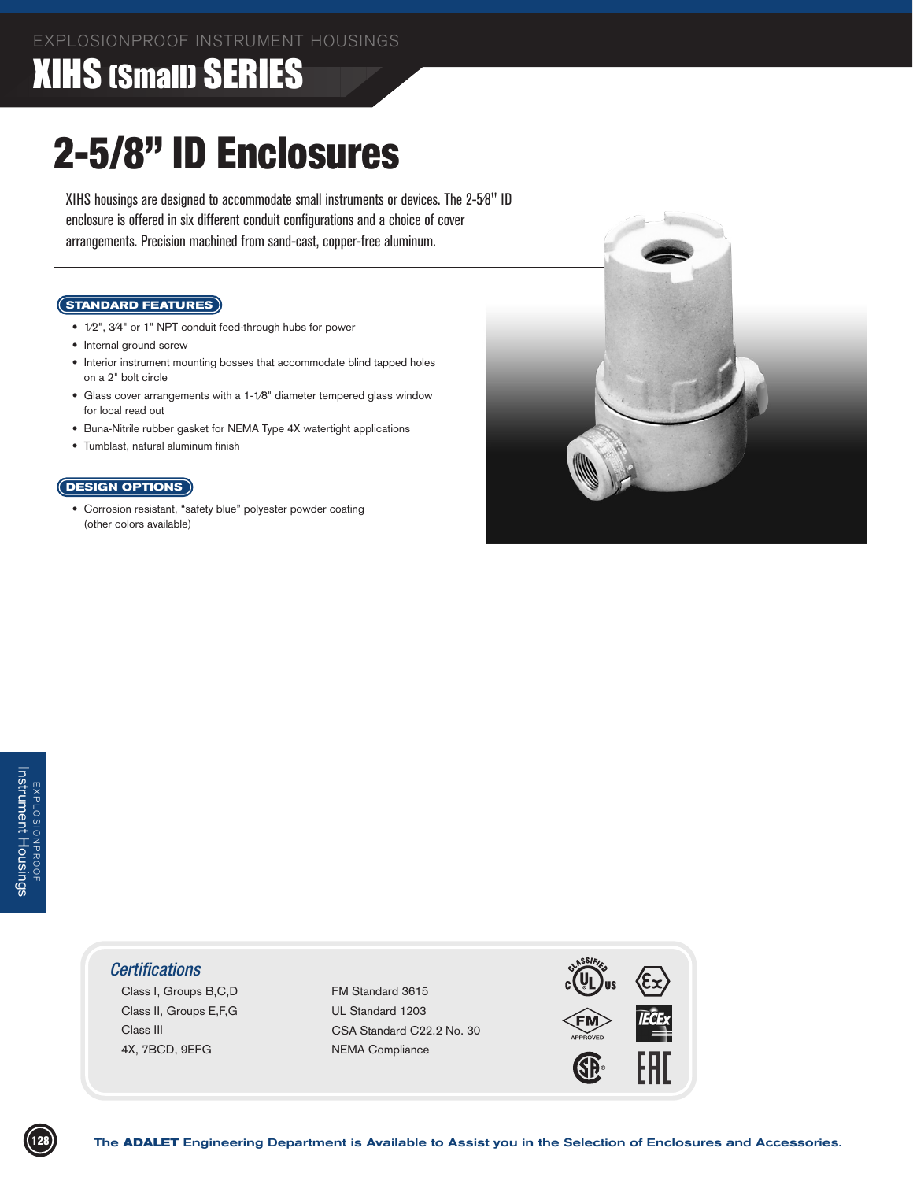## XIHS (Small) SERIES

# 2-5/8" ID Enclosures

XIHS housings are designed to accommodate small instruments or devices. The 2-5⁄8" ID enclosure is offered in six different conduit configurations and a choice of cover arrangements. Precision machined from sand-cast, copper-free aluminum.

#### **STANDARD FEATURES**

- 1⁄2", 3⁄4" or 1" NPT conduit feed-through hubs for power
- Internal ground screw
- Interior instrument mounting bosses that accommodate blind tapped holes on a 2" bolt circle
- Glass cover arrangements with a 1-1⁄8" diameter tempered glass window for local read out
- Buna-Nitrile rubber gasket for NEMA Type 4X watertight applications
- Tumblast, natural aluminum finish

#### **DESIGN OPTIONS**

 • Corrosion resistant, "safety blue" polyester powder coating (other colors available)



#### *Certifications*

 Class I, Groups B,C,D Class II, Groups E,F,G Class III 4X, 7BCD, 9EFG

 FM Standard 3615 UL Standard 1203 CSA Standard C22.2 No. 30 NEMA Compliance